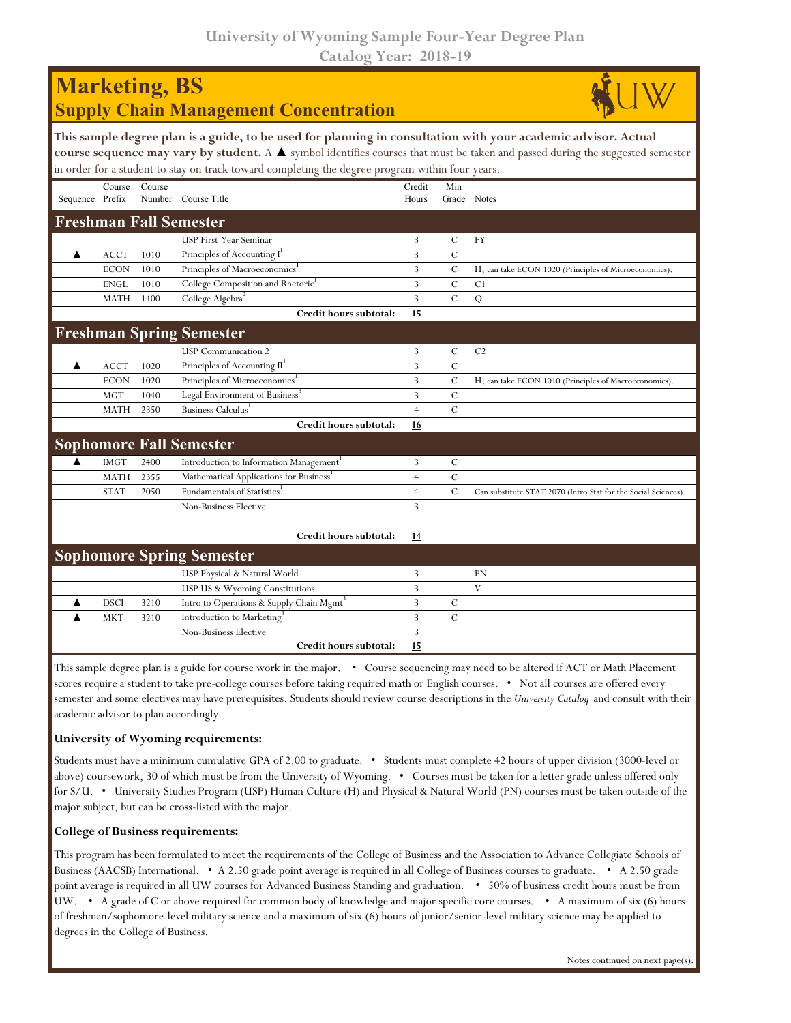**University of Wyoming Sample Four-Year Degree Plan Catalog Year: 2018-19**

| <b>Marketing, BS</b><br><b>Supply Chain Management Concentration</b>                                                                                                                                                                                                                                                                                               |             |        |                                                      |                 |                    |                                                                |  |  |  |  |
|--------------------------------------------------------------------------------------------------------------------------------------------------------------------------------------------------------------------------------------------------------------------------------------------------------------------------------------------------------------------|-------------|--------|------------------------------------------------------|-----------------|--------------------|----------------------------------------------------------------|--|--|--|--|
| This sample degree plan is a guide, to be used for planning in consultation with your academic advisor. Actual<br>course sequence may vary by student. A $\blacktriangle$ symbol identifies courses that must be taken and passed during the suggested semester<br>in order for a student to stay on track toward completing the degree program within four years. |             |        |                                                      |                 |                    |                                                                |  |  |  |  |
| Sequence Prefix                                                                                                                                                                                                                                                                                                                                                    | Course      | Course | Number Course Title                                  | Credit<br>Hours | Min<br>Grade Notes |                                                                |  |  |  |  |
|                                                                                                                                                                                                                                                                                                                                                                    |             |        | <b>Freshman Fall Semester</b>                        |                 |                    |                                                                |  |  |  |  |
|                                                                                                                                                                                                                                                                                                                                                                    |             |        | USP First-Year Seminar                               | 3               | C                  | <b>FY</b>                                                      |  |  |  |  |
| ▲                                                                                                                                                                                                                                                                                                                                                                  | <b>ACCT</b> | 1010   | Principles of Accounting I                           | 3               | $\mathcal{C}$      |                                                                |  |  |  |  |
|                                                                                                                                                                                                                                                                                                                                                                    | <b>ECON</b> | 1010   | Principles of Macroeconomics <sup>1</sup>            | $\overline{3}$  | $\mathcal{C}$      | H; can take ECON 1020 (Principles of Microeconomics).          |  |  |  |  |
|                                                                                                                                                                                                                                                                                                                                                                    | <b>ENGL</b> | 1010   | College Composition and Rhetoric <sup>1</sup>        | $\overline{3}$  | $\mathbf C$        | C <sub>1</sub>                                                 |  |  |  |  |
|                                                                                                                                                                                                                                                                                                                                                                    | <b>MATH</b> | 1400   | College Algebra <sup>2</sup>                         | $\overline{3}$  | $\mathcal{C}$      | $\mathbf Q$                                                    |  |  |  |  |
|                                                                                                                                                                                                                                                                                                                                                                    |             |        | Credit hours subtotal:                               | 15              |                    |                                                                |  |  |  |  |
|                                                                                                                                                                                                                                                                                                                                                                    |             |        | <b>Freshman Spring Semester</b>                      |                 |                    |                                                                |  |  |  |  |
|                                                                                                                                                                                                                                                                                                                                                                    |             |        | USP Communication 2                                  | 3               | C                  | C <sub>2</sub>                                                 |  |  |  |  |
| ▲                                                                                                                                                                                                                                                                                                                                                                  | <b>ACCT</b> | 1020   | Principles of Accounting II <sup>1</sup>             | $\overline{3}$  | $\mathcal{C}$      |                                                                |  |  |  |  |
|                                                                                                                                                                                                                                                                                                                                                                    | <b>ECON</b> | 1020   | Principles of Microeconomics <sup>1</sup>            | 3               | $\mathcal{C}$      | H; can take ECON 1010 (Principles of Macroeconomics).          |  |  |  |  |
|                                                                                                                                                                                                                                                                                                                                                                    | <b>MGT</b>  | 1040   | Legal Environment of Business <sup>3</sup>           | 3               | $\mathcal{C}$      |                                                                |  |  |  |  |
|                                                                                                                                                                                                                                                                                                                                                                    | <b>MATH</b> | 2350   | Business Calculus                                    | $\overline{4}$  | $\mathcal{C}$      |                                                                |  |  |  |  |
|                                                                                                                                                                                                                                                                                                                                                                    |             |        | Credit hours subtotal:                               | 16              |                    |                                                                |  |  |  |  |
|                                                                                                                                                                                                                                                                                                                                                                    |             |        | <b>Sophomore Fall Semester</b>                       |                 |                    |                                                                |  |  |  |  |
| ▲                                                                                                                                                                                                                                                                                                                                                                  | <b>IMGT</b> | 2400   | Introduction to Information Management <sup>1</sup>  | 3               | $\mathcal{C}$      |                                                                |  |  |  |  |
|                                                                                                                                                                                                                                                                                                                                                                    | <b>MATH</b> | 2355   | Mathematical Applications for Business               | $\overline{4}$  | $\mathbf C$        |                                                                |  |  |  |  |
|                                                                                                                                                                                                                                                                                                                                                                    | <b>STAT</b> | 2050   | Fundamentals of Statistics                           | $\overline{4}$  | $\mathbf C$        | Can substitute STAT 2070 (Intro Stat for the Social Sciences). |  |  |  |  |
|                                                                                                                                                                                                                                                                                                                                                                    |             |        | <b>Non-Business Elective</b>                         | 3               |                    |                                                                |  |  |  |  |
|                                                                                                                                                                                                                                                                                                                                                                    |             |        |                                                      |                 |                    |                                                                |  |  |  |  |
|                                                                                                                                                                                                                                                                                                                                                                    |             |        | Credit hours subtotal:                               | 14              |                    |                                                                |  |  |  |  |
|                                                                                                                                                                                                                                                                                                                                                                    |             |        | <b>Sophomore Spring Semester</b>                     |                 |                    |                                                                |  |  |  |  |
|                                                                                                                                                                                                                                                                                                                                                                    |             |        | USP Physical & Natural World                         | 3               |                    | <b>PN</b>                                                      |  |  |  |  |
|                                                                                                                                                                                                                                                                                                                                                                    |             |        | USP US & Wyoming Constitutions                       | 3               |                    | V                                                              |  |  |  |  |
| ▲                                                                                                                                                                                                                                                                                                                                                                  | <b>DSCI</b> | 3210   | Intro to Operations & Supply Chain Mgmt <sup>3</sup> | 3               | $\mathcal{C}$      |                                                                |  |  |  |  |
| ▲                                                                                                                                                                                                                                                                                                                                                                  | <b>MKT</b>  | 3210   | Introduction to Marketing                            | 3               | $\mathsf{C}$       |                                                                |  |  |  |  |
|                                                                                                                                                                                                                                                                                                                                                                    |             |        | <b>Non-Business Elective</b>                         | $\overline{3}$  |                    |                                                                |  |  |  |  |
|                                                                                                                                                                                                                                                                                                                                                                    |             |        | Credit hours subtotal:                               | 15              |                    |                                                                |  |  |  |  |

This sample degree plan is a guide for course work in the major. • Course sequencing may need to be altered if ACT or Math Placement scores require a student to take pre-college courses before taking required math or English courses. • Not all courses are offered every semester and some electives may have prerequisites. Students should review course descriptions in the *University Catalog* and consult with their academic advisor to plan accordingly.

## **University of Wyoming requirements:**

Students must have a minimum cumulative GPA of 2.00 to graduate. • Students must complete 42 hours of upper division (3000-level or above) coursework, 30 of which must be from the University of Wyoming. • Courses must be taken for a letter grade unless offered only for S/U. • University Studies Program (USP) Human Culture (H) and Physical & Natural World (PN) courses must be taken outside of the major subject, but can be cross-listed with the major.

## **College of Business requirements:**

This program has been formulated to meet the requirements of the College of Business and the Association to Advance Collegiate Schools of Business (AACSB) International. • A 2.50 grade point average is required in all College of Business courses to graduate. • A 2.50 grade point average is required in all UW courses for Advanced Business Standing and graduation. • 50% of business credit hours must be from UW. • A grade of C or above required for common body of knowledge and major specific core courses. • A maximum of six (6) hours of freshman/sophomore-level military science and a maximum of six (6) hours of junior/senior-level military science may be applied to degrees in the College of Business.